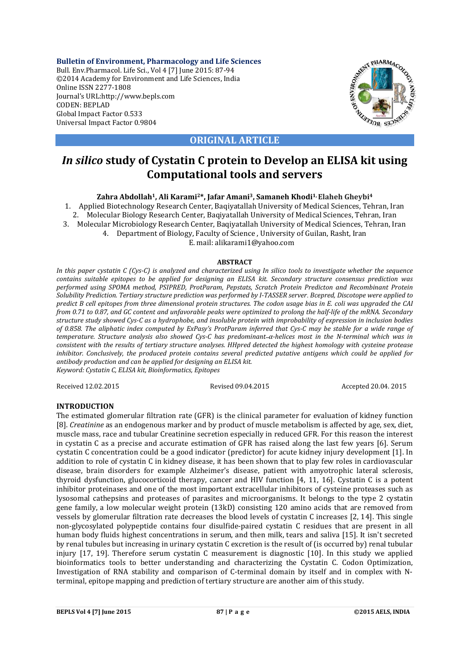**Bulletin of Environment, Pharmacology and Life Sciences** Bull. Env.Pharmacol. Life Sci., Vol 4 [7] June 2015: 87-94 ©2014 Academy for Environment and Life Sciences, India Online ISSN 2277-1808 Journal's URL:http://www.bepls.com CODEN: BEPLAD Global Impact Factor 0.533 Universal Impact Factor 0.9804



**ORIGINAL ARTICLE**

# *In silico* **study of Cystatin C protein to Develop an ELISA kit using Computational tools and servers**

**Zahra Abdollah1, Ali Karami2\*, Jafar Amani3, Samaneh Khodi1, Elaheh Gheybi4**

1. Applied Biotechnology Research Center, Baqiyatallah University of Medical Sciences, Tehran, Iran

2. Molecular Biology Research Center, Baqiyatallah University of Medical Sciences, Tehran, Iran

3. Molecular Microbiology Research Center, Baqiyatallah University of Medical Sciences, Tehran, Iran

4. Department of Biology, Faculty of Science , University of Guilan, Rasht, Iran

E. mail: alikarami1@yahoo.com

## **ABSTRACT**

*In this paper cystatin C (Cys-C) is analyzed and characterized using In silico tools to investigate whether the sequence contains suitable epitopes to be applied for designing an ELISA kit. Secondary structure consensus prediction was performed using SPOMA method, PSIPRED, ProtParam, Pepstats, Scratch Protein Predicton and Recombinant Protein Solubility Prediction. Tertiary structure prediction was performed by I-TASSER server*. *Bcepred, Discotope were applied to predict B cell epitopes from three dimensional protein structures. The codon usage bias in E. coli was upgraded the CAI from 0.71 to 0.87, and GC content and unfavorable peaks were optimized to prolong the half-life of the mRNA. Secondary structure study showed Cys-C as a hydrophobe, and insoluble protein with improbability of expression in inclusion bodies of 0.858. The aliphatic index computed by ExPasy's ProtParam inferred that Cys-C may be stable for a wide range of temperature. Structure analysis also showed Cys-C has predominant α-helices most in the N-terminal which was in consistent with the results of tertiary structure analyses. HHpred detected the highest homology with cysteine protease inhibitor. Conclusively, the produced protein contains several predicted putative antigens which could be applied for antibody production and can be applied for designing an ELISA kit. Keyword: Cystatin C, ELISA kit, Bioinformatics, Epitopes*

Received 12.02.2015 Revised 09.04.2015 Accepted 20.04. 2015

## **INTRODUCTION**

The estimated glomerular filtration rate (GFR) is the clinical parameter for evaluation of kidney function [8]. *Creatinine* as an endogenous marker and by product of muscle metabolism is affected by age, sex, diet, muscle mass, race and tubular Creatinine secretion especially in reduced GFR. For this reason the interest in cystatin C as a precise and accurate estimation of GFR has raised along the last few years [6]. Serum cystatin C concentration could be a good indicator (predictor) for acute kidney injury development [1]. In addition to role of cystatin C in kidney disease, it has been shown that to play few roles in cardiovascular disease, brain disorders for example Alzheimer's disease, patient with amyotrophic lateral sclerosis, thyroid dysfunction, glucocorticoid therapy, cancer and HIV function [4, 11, 16]. Cystatin C is a potent inhibitor proteinases and one of the most important extracellular inhibitors of cysteine proteases such as lysosomal cathepsins and proteases of parasites and microorganisms. It belongs to the type 2 cystatin gene family, a low molecular weight protein (13kD) consisting 120 amino acids that are removed from vessels by glomerular filtration rate decreases the blood levels of cystatin C increases [2, 14]. This single non-glycosylated polypeptide contains four disulfide-paired cystatin C residues that are present in all human body fluids highest concentrations in serum, and then milk, tears and saliva [15]. It isn't secreted by renal tubules but increasing in urinary cystatin C excretion is the result of (is occurred by) renal tubular injury [17, 19]. Therefore serum cystatin C measurement is diagnostic [10]. In this study we applied bioinformatics tools to better understanding and characterizing the Cystatin C. Codon Optimization, Investigation of RNA stability and comparison of C-terminal domain by itself and in complex with Nterminal, epitope mapping and prediction of tertiary structure are another aim of this study.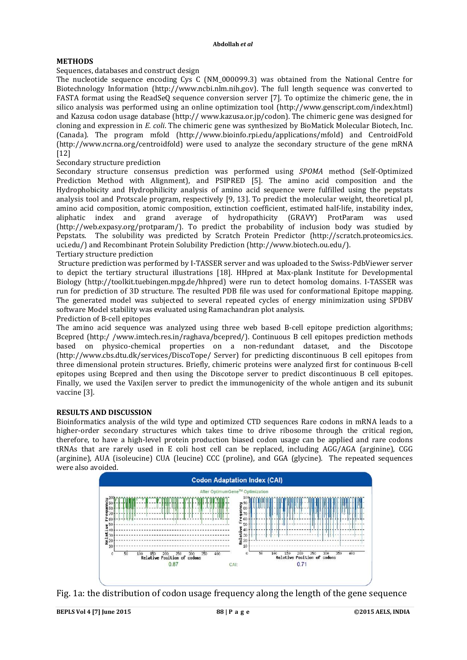## **METHODS**

## Sequences, databases and construct design

The nucleotide sequence encoding Cys C (NM\_000099.3) was obtained from the National Centre for Biotechnology Information (http://www.ncbi.nlm.nih.gov). The full length sequence was converted to FASTA format using the ReadSeQ sequence conversion server [7]. To optimize the chimeric gene, the in silico analysis was performed using an online optimization tool (http://www.genscript.com/index.html) and Kazusa codon usage database (http:// www.kazusa.or.jp/codon). The chimeric gene was designed for cloning and expression in *E. coli*. The chimeric gene was synthesized by BioMatick Molecular Biotech, Inc. (Canada). The program mfold (http://www.bioinfo.rpi.edu/applications/mfold) and CentroidFold (http://www.ncrna.org/centroidfold) were used to analyze the secondary structure of the gene mRNA [12]

## Secondary structure prediction

Secondary structure consensus prediction was performed using *SPOMA* method (Self-Optimized Prediction Method with Alignment), and PSIPRED [5]. The amino acid composition and the Hydrophobicity and Hydrophilicity analysis of amino acid sequence were fulfilled using the pepstats analysis tool and Protscale program, respectively [9, 13]. To predict the molecular weight, theoretical pI, amino acid composition, atomic composition, extinction coefficient, estimated half-life, instability index, aliphatic index and grand average of hydropathicity (GRAVY) ProtParam was used (http://web.expasy.org/protparam/). To predict the probability of inclusion body was studied by Pepstats. The solubility was predicted by Scratch Protein Predictor (http://scratch.proteomics.ics. uci.edu/) and Recombinant Protein Solubility Prediction (http://www.biotech.ou.edu/). Tertiary structure prediction

Structure prediction was performed by I-TASSER server and was uploaded to the Swiss-PdbViewer server to depict the tertiary structural illustrations [18]. HHpred at Max-plank Institute for Developmental Biology (http://toolkit.tuebingen.mpg.de/hhpred) were run to detect homolog domains. I-TASSER was run for prediction of 3D structure. The resulted PDB file was used for conformational Epitope mapping. The generated model was subjected to several repeated cycles of energy minimization using SPDBV software Model stability was evaluated using Ramachandran plot analysis.

## Prediction of B-cell epitopes

The amino acid sequence was analyzed using three web based B-cell epitope prediction algorithms; Bcepred (http:/ /www.imtech.res.in/raghava/bcepred/). Continuous B cell epitopes prediction methods based on physico-chemical properties on a non-redundant dataset, and the Discotope (http://www.cbs.dtu.dk/services/DiscoTope/ Server) for predicting discontinuous B cell epitopes from three dimensional protein structures. Briefly, chimeric proteins were analyzed first for continuous B-cell epitopes using Bcepred and then using the Discotope server to predict discontinuous B cell epitopes. Finally, we used the VaxiJen server to predict the immunogenicity of the whole antigen and its subunit vaccine [3].

## **RESULTS AND DISCUSSION**

Bioinformatics analysis of the wild type and optimized CTD sequences Rare codons in mRNA leads to a higher-order secondary structures which takes time to drive ribosome through the critical region, therefore, to have a high-level protein production biased codon usage can be applied and rare codons tRNAs that are rarely used in E coli host cell can be replaced, including AGG/AGA (arginine), CGG (arginine), AUA (isoleucine) CUA (leucine) CCC (proline), and GGA (glycine). The repeated sequences were also avoided.



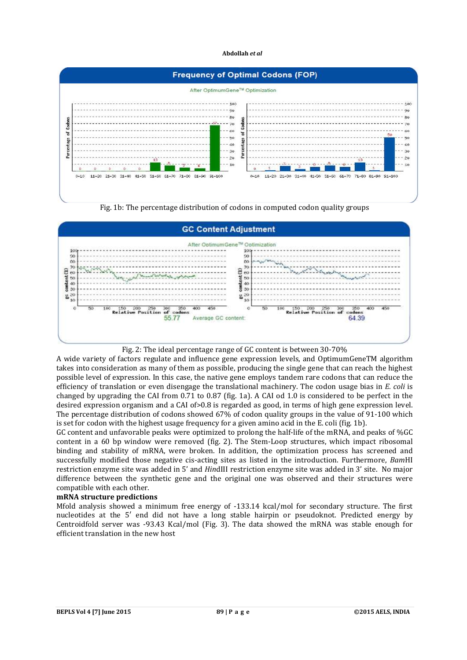





## Fig. 2: The ideal percentage range of GC content is between 30-70%

A wide variety of factors regulate and influence gene expression levels, and OptimumGeneTM algorithm takes into consideration as many of them as possible, producing the single gene that can reach the highest possible level of expression. In this case, the native gene employs tandem rare codons that can reduce the efficiency of translation or even disengage the translational machinery. The codon usage bias in *E. coli* is changed by upgrading the CAI from 0.71 to 0.87 (fig. 1a). A CAI od 1.0 is considered to be perfect in the desired expression organism and a CAI of>0.8 is regarded as good, in terms of high gene expression level. The percentage distribution of codons showed 67% of codon quality groups in the value of 91-100 which is set for codon with the highest usage frequency for a given amino acid in the E. coli (fig. 1b).

GC content and unfavorable peaks were optimized to prolong the half-life of the mRNA, and peaks of %GC content in a 60 bp window were removed (fig. 2). The Stem-Loop structures, which impact ribosomal binding and stability of mRNA, were broken. In addition, the optimization process has screened and successfully modified those negative cis-acting sites as listed in the introduction. Furthermore, *Bam*HI restriction enzyme site was added in 5' and *Hin*dIII restriction enzyme site was added in 3' site. No major difference between the synthetic gene and the original one was observed and their structures were compatible with each other.

# **mRNA structure predictions**

Mfold analysis showed a minimum free energy of -133.14 kcal/mol for secondary structure. The first nucleotides at the 5′ end did not have a long stable hairpin or pseudoknot. Predicted energy by Centroidfold server was -93.43 Kcal/mol (Fig. 3). The data showed the mRNA was stable enough for efficient translation in the new host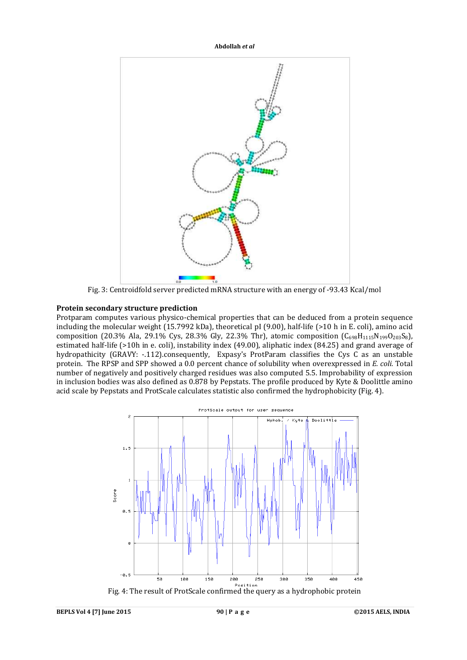

Fig. 3: Centroidfold server predicted mRNA structure with an energy of -93.43 Kcal/mol

# **Protein secondary structure prediction**

Protparam computes various physico-chemical properties that can be deduced from a protein sequence including the molecular weight (15.7992 kDa), theoretical pI (9.00), half-life (>10 h in E. coli), amino acid composition (20.3% Ala, 29.1% Cys, 28.3% Gly, 22.3% Thr), atomic composition ( $C_{698}H_{1115}N_{199}O_{203}S_8$ ), estimated half-life (>10h in e. coli), instability index (49.00), aliphatic index (84.25) and grand average of hydropathicity (GRAVY: -.112).consequently, Expasy's ProtParam classifies the Cys C as an unstable protein. The RPSP and SPP showed a 0.0 percent chance of solubility when overexpressed in *E. coli.* Total number of negatively and positively charged residues was also computed 5.5. Improbability of expression in inclusion bodies was also defined as 0.878 by Pepstats. The profile produced by Kyte & Doolittle amino acid scale by Pepstats and ProtScale calculates statistic also confirmed the hydrophobicity (Fig. 4).

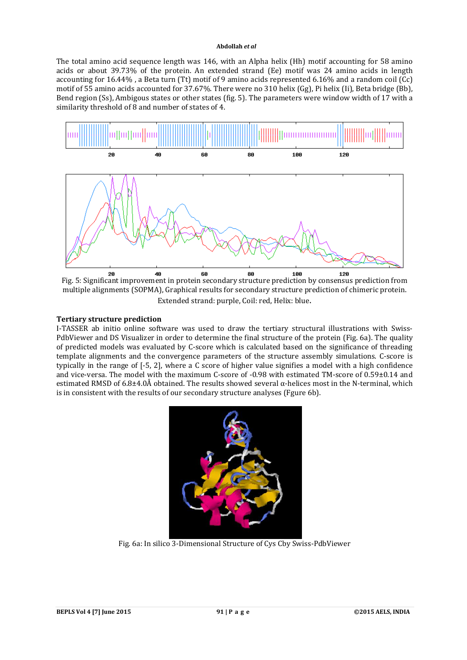The total amino acid sequence length was 146, with an Alpha helix (Hh) motif accounting for 58 amino acids or about 39.73% of the protein. An extended strand (Ee) motif was 24 amino acids in length accounting for 16.44% , a Beta turn (Tt) motif of 9 amino acids represented 6.16% and a random coil (Cc) motif of 55 amino acids accounted for 37.67%. There were no 310 helix (Gg), Pi helix (Ii), Beta bridge (Bb), Bend region (Ss), Ambigous states or other states (fig. 5). The parameters were window width of 17 with a similarity threshold of 8 and number of states of 4.



Fig. 5: Significant improvement in protein secondary structure prediction by consensus prediction from multiple alignments (SOPMA), Graphical results for secondary structure prediction of chimeric protein. Extended strand: purple, Coil: red, Helix: blue.

## **Tertiary structure prediction**

I-TASSER ab initio online software was used to draw the tertiary structural illustrations with Swiss-PdbViewer and DS Visualizer in order to determine the final structure of the protein (Fig. 6a). The quality of predicted models was evaluated by C-score which is calculated based on the significance of threading template alignments and the convergence parameters of the structure assembly simulations. C-score is typically in the range of [-5, 2], where a C score of higher value signifies a model with a high confidence and vice-versa. The model with the maximum C-score of -0.98 with estimated TM-score of 0.59±0.14 and estimated RMSD of  $6.8\pm4.0\text{\AA}$  obtained. The results showed several  $\alpha$ -helices most in the N-terminal, which is in consistent with the results of our secondary structure analyses (Fgure 6b).



Fig. 6a: In silico 3-Dimensional Structure of Cys Cby Swiss-PdbViewer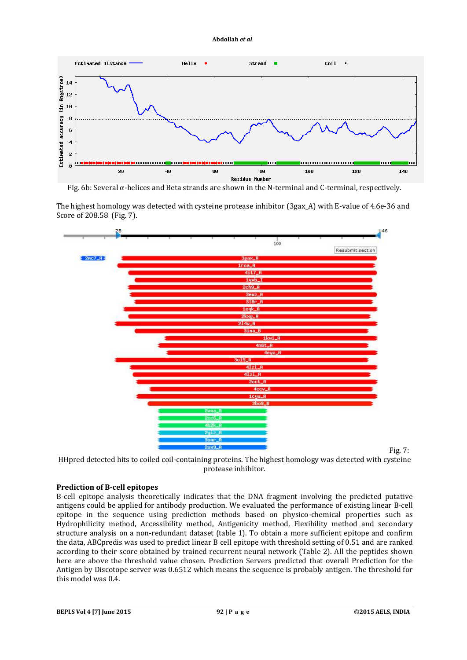

Fig. 6b: Several α-helices and Beta strands are shown in the N-terminal and C-terminal, respectively.

The highest homology was detected with cysteine protease inhibitor (3gax\_A) with E-value of 4.6e-36 and Score of 208.58 (Fig. 7).



HHpred detected hits to coiled coil-containing proteins. The highest homology was detected with cysteine protease inhibitor.

## **Prediction of B-cell epitopes**

B-cell epitope analysis theoretically indicates that the DNA fragment involving the predicted putative antigens could be applied for antibody production. We evaluated the performance of existing linear B-cell epitope in the sequence using prediction methods based on physico-chemical properties such as Hydrophilicity method, Accessibility method, Antigenicity method, Flexibility method and secondary structure analysis on a non-redundant dataset (table 1). To obtain a more sufficient epitope and confirm the data, ABCpredis was used to predict linear B cell epitope with threshold setting of 0.51 and are ranked according to their score obtained by trained recurrent neural network (Table 2). All the peptides shown here are above the threshold value chosen. Prediction Servers predicted that overall Prediction for the Antigen by Discotope server was 0.6512 which means the sequence is probably antigen. The threshold for this model was 0.4.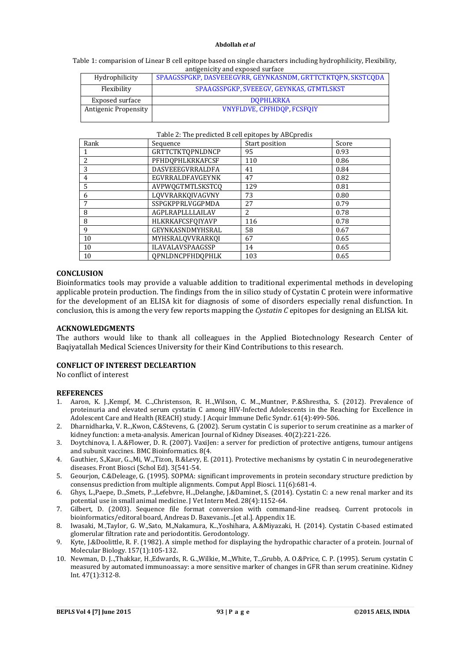Table 1: comparision of Linear B cell epitope based on single characters including hydrophilicity, Flexibility, antigenicity and exposed surface

| Hydrophilicity                                            | SPAAGSSPGKP, DASVEEEGVRR, GEYNKASNDM, GRTTCTKTOPN, SKSTCODA |  |  |
|-----------------------------------------------------------|-------------------------------------------------------------|--|--|
| Flexibility                                               | SPAAGSSPGKP, SVEEEGV, GEYNKAS, GTMTLSKST                    |  |  |
| Exposed surface                                           | <b>DOPHLKRKA</b>                                            |  |  |
| <b>VNYFLDVE, CPFHDOP, FCSFOIY</b><br>Antigenic Propensity |                                                             |  |  |

#### Table 2: The predicted B cell epitopes by ABCpredis

| Rank | Sequence                | Start position | Score |
|------|-------------------------|----------------|-------|
|      | GRTTCTKTQPNLDNCP        | 95             | 0.93  |
| 2    | PFHDQPHLKRKAFCSF        | 110            | 0.86  |
| 3    | <b>DASVEEEGVRRALDFA</b> | 41             | 0.84  |
| 4    | EGVRRALDFAVGEYNK        | 47             | 0.82  |
| 5    | AVPWQGTMTLSKSTCQ        | 129            | 0.81  |
| 6    | LQVVRARKQIVAGVNY        | 73             | 0.80  |
| 7    | SSPGKPPRLVGGPMDA        | 27             | 0.79  |
| 8    | AGPLRAPLLLLAILAV        | 2              | 0.78  |
| 8    | HLKRKAFCSFOIYAVP        | 116            | 0.78  |
| 9    | GEYNKASNDMYHSRAL        | 58             | 0.67  |
| 10   | MYHSRALQVVRARKQI        | 67             | 0.65  |
| 10   | <b>ILAVALAVSPAAGSSP</b> | 14             | 0.65  |
| 10   | <b>OPNLDNCPFHDOPHLK</b> | 103            | 0.65  |

#### **CONCLUSION**

Bioinformatics tools may provide a valuable addition to traditional experimental methods in developing applicable protein production. The findings from the in silico study of Cystatin C protein were informative for the development of an ELISA kit for diagnosis of some of disorders especially renal disfunction. In conclusion, this is among the very few reports mapping the *Cystatin C* epitopes for designing an ELISA kit.

## **ACKNOWLEDGMENTS**

The authors would like to thank all colleagues in the Applied Biotechnology Research Center of Baqiyatallah Medical Sciences University for their Kind Contributions to this research.

#### **CONFLICT OF INTEREST DECLEARTION**

No conflict of interest

#### **REFERENCES**

- 1. Aaron, K. J.,Kempf, M. C..,Christenson, R. H..,Wilson, C. M..,Muntner, P.&Shrestha, S. (2012). Prevalence of proteinuria and elevated serum cystatin C among HIV-Infected Adolescents in the Reaching for Excellence in Adolescent Care and Health (REACH) study. J Acquir Immune Defic Syndr. 61(4):499-506.
- 2. Dharnidharka, V. R..,Kwon, C.&Stevens, G. (2002). Serum cystatin C is superior to serum creatinine as a marker of kidney function: a meta-analysis. American Journal of Kidney Diseases. 40(2):221-226.
- 3. Doytchinova, I. A.&Flower, D. R. (2007). VaxiJen: a server for prediction of protective antigens, tumour antigens and subunit vaccines. BMC Bioinformatics. 8(4.
- 4. Gauthier, S.,Kaur, G..,Mi, W..,Tizon, B.&Levy, E. (2011). Protective mechanisms by cystatin C in neurodegenerative diseases. Front Biosci (Schol Ed). 3(541-54.
- 5. Geourjon, C.&Deleage, G. (1995). SOPMA: significant improvements in protein secondary structure prediction by consensus prediction from multiple alignments. Comput Appl Biosci. 11(6):681-4.
- 6. Ghys, L.,Paepe, D..,Smets, P..,Lefebvre, H..,Delanghe, J.&Daminet, S. (2014). Cystatin C: a new renal marker and its potential use in small animal medicine. J Vet Intern Med. 28(4):1152-64.
- 7. Gilbert, D. (2003). Sequence file format conversion with command-line readseq. Current protocols in bioinformatics/editoral board, Andreas D. Baxevanis...[et al.]. Appendix 1E.
- 8. Iwasaki, M.,Taylor, G. W.,Sato, M.,Nakamura, K..,Yoshihara, A.&Miyazaki, H. (2014). Cystatin C-based estimated glomerular filtration rate and periodontitis. Gerodontology.
- 9. Kyte, J.&Doolittle, R. F. (1982). A simple method for displaying the hydropathic character of a protein. Journal of Molecular Biology. 157(1):105-132.
- 10. Newman, D. J..,Thakkar, H.,Edwards, R. G..,Wilkie, M..,White, T..,Grubb, A. O.&Price, C. P. (1995). Serum cystatin C measured by automated immunoassay: a more sensitive marker of changes in GFR than serum creatinine. Kidney Int. 47(1):312-8.